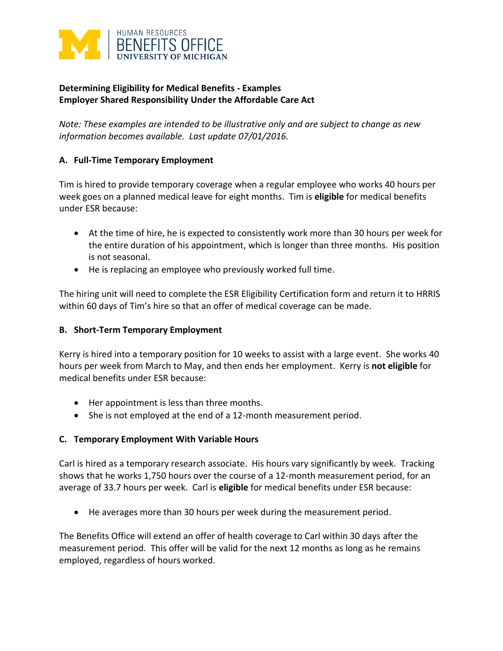

# **Determining Eligibility for Medical Benefits - Examples Employer Shared Responsibility Under the Affordable Care Act**

*Note: These examples are intended to be illustrative only and are subject to change as new information becomes available. Last update 07/01/2016.* 

## **A. Full-Time Temporary Employment**

Tim is hired to provide temporary coverage when a regular employee who works 40 hours per week goes on a planned medical leave for eight months. Tim is **eligible** for medical benefits under ESR because:

- At the time of hire, he is expected to consistently work more than 30 hours per week for the entire duration of his appointment, which is longer than three months. His position is not seasonal.
- He is replacing an employee who previously worked full time.

The hiring unit will need to complete the ESR Eligibility Certification form and return it to HRRIS within 60 days of Tim's hire so that an offer of medical coverage can be made.

## **B. Short-Term Temporary Employment**

Kerry is hired into a temporary position for 10 weeks to assist with a large event. She works 40 hours per week from March to May, and then ends her employment. Kerry is **not eligible** for medical benefits under ESR because:

- Her appointment is less than three months.
- She is not employed at the end of a 12-month measurement period.

## **C. Temporary Employment With Variable Hours**

Carl is hired as a temporary research associate. His hours vary significantly by week. Tracking shows that he works 1,750 hours over the course of a 12-month measurement period, for an average of 33.7 hours per week. Carl is **eligible** for medical benefits under ESR because:

He averages more than 30 hours per week during the measurement period.

The Benefits Office will extend an offer of health coverage to Carl within 30 days after the measurement period. This offer will be valid for the next 12 months as long as he remains employed, regardless of hours worked.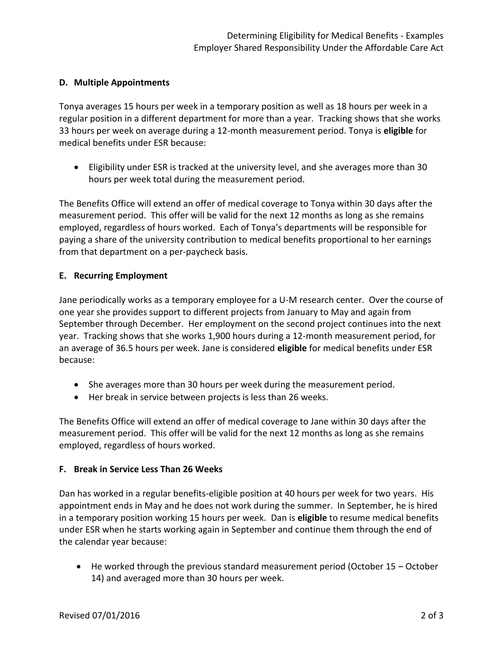#### **D. Multiple Appointments**

Tonya averages 15 hours per week in a temporary position as well as 18 hours per week in a regular position in a different department for more than a year. Tracking shows that she works 33 hours per week on average during a 12-month measurement period. Tonya is **eligible** for medical benefits under ESR because:

 Eligibility under ESR is tracked at the university level, and she averages more than 30 hours per week total during the measurement period.

The Benefits Office will extend an offer of medical coverage to Tonya within 30 days after the measurement period. This offer will be valid for the next 12 months as long as she remains employed, regardless of hours worked. Each of Tonya's departments will be responsible for paying a share of the university contribution to medical benefits proportional to her earnings from that department on a per-paycheck basis.

### **E. Recurring Employment**

Jane periodically works as a temporary employee for a U-M research center. Over the course of one year she provides support to different projects from January to May and again from September through December. Her employment on the second project continues into the next year. Tracking shows that she works 1,900 hours during a 12-month measurement period, for an average of 36.5 hours per week. Jane is considered **eligible** for medical benefits under ESR because:

- She averages more than 30 hours per week during the measurement period.
- Her break in service between projects is less than 26 weeks.

The Benefits Office will extend an offer of medical coverage to Jane within 30 days after the measurement period. This offer will be valid for the next 12 months as long as she remains employed, regardless of hours worked.

### **F. Break in Service Less Than 26 Weeks**

Dan has worked in a regular benefits-eligible position at 40 hours per week for two years. His appointment ends in May and he does not work during the summer. In September, he is hired in a temporary position working 15 hours per week. Dan is **eligible** to resume medical benefits under ESR when he starts working again in September and continue them through the end of the calendar year because:

 $\bullet$  He worked through the previous standard measurement period (October 15 – October 14) and averaged more than 30 hours per week.